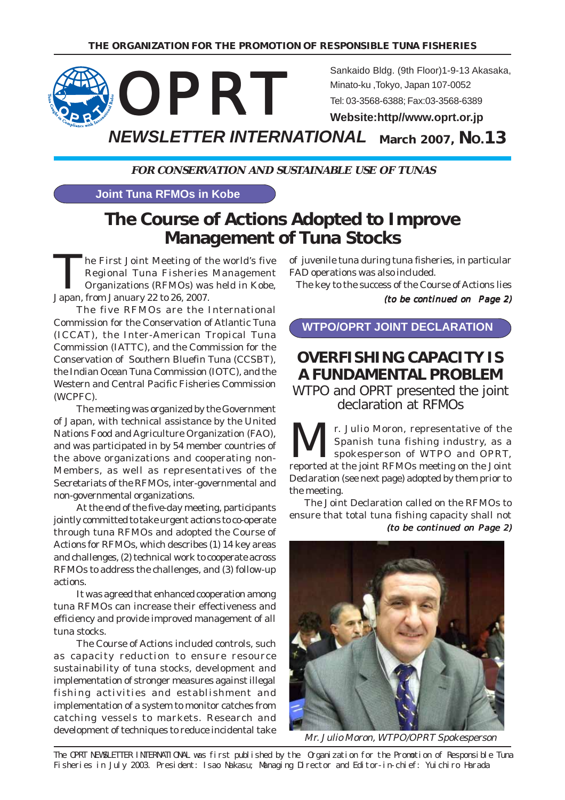

**FOR CONSERVATION AND SUSTAINABLE USE OF TUNAS**

#### **Joint Tuna RFMOs in Kobe**

# **The Course of Actions Adopted to Improve Management of Tuna Stocks**

The First Joint Meeting of the world's five<br>Regional Tuna Fisheries Management<br>Organizations (RFMOs) was held in Kobe, Regional Tuna Fisheries Management Organizations (RFMOs) was held in Kobe, Japan, from January 22 to 26, 2007.

The five RFMOs are the International Commission for the Conservation of Atlantic Tuna (ICCAT), the Inter-American Tropical Tuna Commission (IATTC), and the Commission for the Conservation of Southern Bluefin Tuna (CCSBT), the Indian Ocean Tuna Commission (IOTC), and the Western and Central Pacific Fisheries Commission (WCPFC).

The meeting was organized by the Government of Japan, with technical assistance by the United Nations Food and Agriculture Organization (FAO), and was participated in by 54 member countries of the above organizations and cooperating non-Members, as well as representatives of the Secretariats of the RFMOs, inter-governmental and non-governmental organizations.

At the end of the five-day meeting, participants jointly committed to take urgent actions to co-operate through tuna RFMOs and adopted the Course of Actions for RFMOs, which describes (1) 14 key areas and challenges, (2) technical work to cooperate across RFMOs to address the challenges, and (3) follow-up actions.

It was agreed that enhanced cooperation among tuna RFMOs can increase their effectiveness and efficiency and provide improved management of all tuna stocks.

The Course of Actions included controls, such as capacity reduction to ensure resource sustainability of tuna stocks, development and implementation of stronger measures against illegal fishing activities and establishment and implementation of a system to monitor catches from catching vessels to markets. Research and development of techniques to reduce incidental take

of juvenile tuna during tuna fisheries, in particular FAD operations was also included.

The key to the success of the Course of Actions lies

(to be continued on Page 2)

### **WTPO/OPRT JOINT DECLARATION**

## **OVERFISHING CAPACITY IS A FUNDAMENTAL PROBLEM**

WTPO and OPRT presented the joint declaration at RFMOs

**MEXALLE SET ALL r.** Julio Moron, representative of the Spanish tuna fishing industry, as a set of WTPO and OPRT, Spanish tuna fishing industry, as a spokesperson of WTPO and OPRT, reported at the joint RFMOs meeting on the Joint Declaration (see next page) adopted by them prior to the meeting.

(to be continued on Page 2) The Joint Declaration called on the RFMOs to ensure that total tuna fishing capacity shall not



Mr. Julio Moron, WTPO/OPRT Spokesperson

The OPRT NEWSLETTER INTERNATIONAL was first published by the Organization for the Promotion of Responsible Tuna Fisheries in July 2003. President: Isao Nakasu; Managing Director and Editor-in-chief: Yuichiro Harada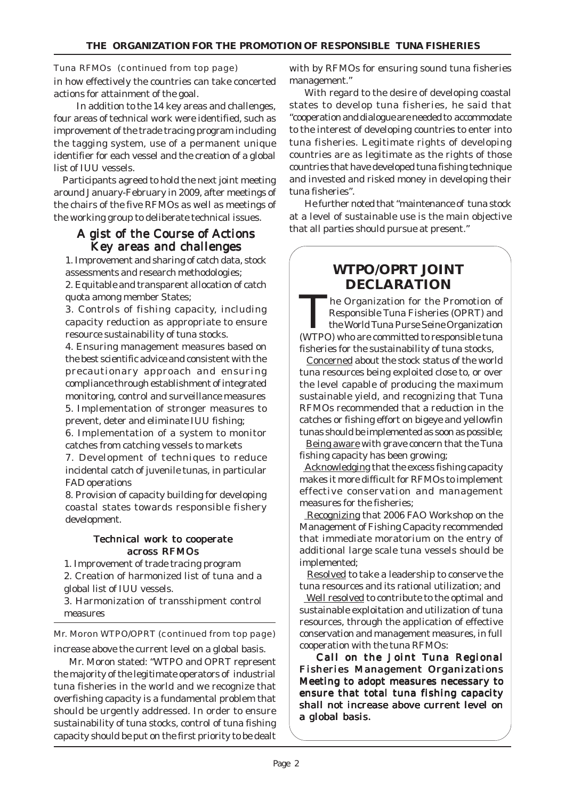#### Tuna RFMOs (continued from top page)

in how effectively the countries can take concerted actions for attainment of the goal.

In addition to the 14 key areas and challenges, four areas of technical work were identified, such as improvement of the trade tracing program including the tagging system, use of a permanent unique identifier for each vessel and the creation of a global list of IUU vessels.

 Participants agreed to hold the next joint meeting around January-February in 2009, after meetings of the chairs of the five RFMOs as well as meetings of the working group to deliberate technical issues.

#### A gist of the Course of Actions Key areas and challenges

1. Improvement and sharing of catch data, stock assessments and research methodologies; 2. Equitable and transparent allocation of catch quota among member States;

3. Controls of fishing capacity, including capacity reduction as appropriate to ensure resource sustainability of tuna stocks.

4. Ensuring management measures based on the best scientific advice and consistent with the precautionary approach and ensuring compliance through establishment of integrated monitoring, control and surveillance measures 5. Implementation of stronger measures to

prevent, deter and eliminate IUU fishing; 6. Implementation of a system to monitor catches from catching vessels to markets

7. Development of techniques to reduce incidental catch of juvenile tunas, in particular FAD operations

8. Provision of capacity building for developing coastal states towards responsible fishery development.

#### Technical work to cooperate across RFMOs

1. Improvement of trade tracing program

2. Creation of harmonized list of tuna and a global list of IUU vessels.

3. Harmonization of transshipment control measures

### Mr. Moron WTPO/OPRT (continued from top page)

increase above the current level on a global basis.

Mr. Moron stated: "WTPO and OPRT represent the majority of the legitimate operators of industrial tuna fisheries in the world and we recognize that overfishing capacity is a fundamental problem that should be urgently addressed. In order to ensure sustainability of tuna stocks, control of tuna fishing capacity should be put on the first priority to be dealt

with by RFMOs for ensuring sound tuna fisheries management."

With regard to the desire of developing coastal states to develop tuna fisheries, he said that "cooperation and dialogue are needed to accommodate to the interest of developing countries to enter into tuna fisheries. Legitimate rights of developing countries are as legitimate as the rights of those countries that have developed tuna fishing technique and invested and risked money in developing their tuna fisheries".

He further noted that "maintenance of tuna stock at a level of sustainable use is the main objective that all parties should pursue at present."

## **WTPO/OPRT JOINT DECLARATION**

The Organization for the Promotion of Responsible Tuna Fisheries (OPRT) and the World Tuna Purse Seine Organization (WTPO) who are committed to responsible tuna fisheries for the sustainability of tuna stocks,

 Concerned about the stock status of the world tuna resources being exploited close to, or over the level capable of producing the maximum sustainable yield, and recognizing that Tuna RFMOs recommended that a reduction in the catches or fishing effort on bigeye and yellowfin tunas should be implemented as soon as possible;

Being aware with grave concern that the Tuna fishing capacity has been growing;

 Acknowledging that the excess fishing capacity makes it more difficult for RFMOs to implement effective conservation and management measures for the fisheries;

 Recognizing that 2006 FAO Workshop on the Management of Fishing Capacity recommended that immediate moratorium on the entry of additional large scale tuna vessels should be implemented;

 Resolved to take a leadership to conserve the tuna resources and its rational utilization; and

 Well resolved to contribute to the optimal and sustainable exploitation and utilization of tuna resources, through the application of effective conservation and management measures, in full cooperation with the tuna RFMOs:

Call on the Joint Tuna Regional Fisheries Management Organizations Meeting to adopt measures necessary to ensure that total tuna fishing capacity shall not increase above current level on a global basis.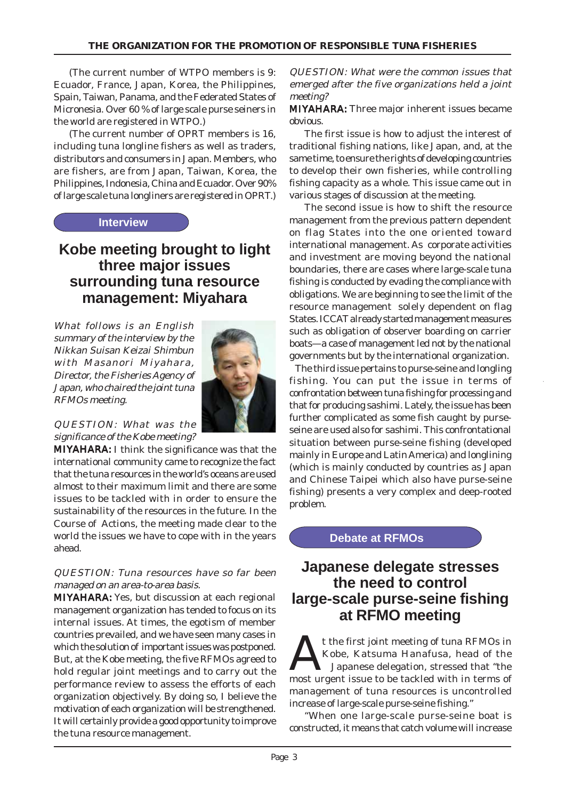(The current number of WTPO members is 9: Ecuador, France, Japan, Korea, the Philippines, Spain, Taiwan, Panama, and the Federated States of Micronesia. Over 60 % of large scale purse seiners in the world are registered in WTPO.)

(The current number of OPRT members is 16, including tuna longline fishers as well as traders, distributors and consumers in Japan. Members, who are fishers, are from Japan, Taiwan, Korea, the Philippines, Indonesia, China and Ecuador. Over 90% of large scale tuna longliners are registered in OPRT.)

#### **Interview**

## **Kobe meeting brought to light three major issues surrounding tuna resource management: Miyahara**

What follows is an English summary of the interview by the Nikkan Suisan Keizai Shimbun with Masanori Miyahara, Director, the Fisheries Agency of Japan, who chaired the joint tuna RFMOs meeting.



#### QUESTION: What was the significance of the Kobe meeting?

**MIYAHARA:** I think the significance was that the international community came to recognize the fact that the tuna resources in the world's oceans are used almost to their maximum limit and there are some issues to be tackled with in order to ensure the sustainability of the resources in the future. In the Course of Actions, the meeting made clear to the world the issues we have to cope with in the years ahead.

#### QUESTION: Tuna resources have so far been managed on an area-to-area basis.

MIYAHARA: Yes, but discussion at each regional management organization has tended to focus on its internal issues. At times, the egotism of member countries prevailed, and we have seen many cases in which the solution of important issues was postponed. But, at the Kobe meeting, the five RFMOs agreed to hold regular joint meetings and to carry out the performance review to assess the efforts of each organization objectively. By doing so, I believe the motivation of each organization will be strengthened. It will certainly provide a good opportunity to improve the tuna resource management.

QUESTION: What were the common issues that emerged after the five organizations held a joint meeting?

MIYAHARA: Three major inherent issues became obvious.

The first issue is how to adjust the interest of traditional fishing nations, like Japan, and, at the same time, to ensure the rights of developing countries to develop their own fisheries, while controlling fishing capacity as a whole. This issue came out in various stages of discussion at the meeting.

The second issue is how to shift the resource management from the previous pattern dependent on flag States into the one oriented toward international management. As corporate activities and investment are moving beyond the national boundaries, there are cases where large-scale tuna fishing is conducted by evading the compliance with obligations. We are beginning to see the limit of the resource management solely dependent on flag States. ICCAT already started management measures such as obligation of observer boarding on carrier boats—a case of management led not by the national governments but by the international organization.

 The third issue pertains to purse-seine and longling fishing. You can put the issue in terms of confrontation between tuna fishing for processing and that for producing sashimi. Lately, the issue has been further complicated as some fish caught by purseseine are used also for sashimi. This confrontational situation between purse-seine fishing (developed mainly in Europe and Latin America) and longlining (which is mainly conducted by countries as Japan and Chinese Taipei which also have purse-seine fishing) presents a very complex and deep-rooted problem.

## **Debate at RFMOs**

## **Japanese delegate stresses the need to control large-scale purse-seine fishing at RFMO meeting**

t the first joint meeting of tuna RFMOs in Kobe, Katsuma Hanafusa, head of the Japanese delegation, stressed that "the most urgent issue to be tackled with in terms of management of tuna resources is uncontrolled increase of large-scale purse-seine fishing."

"When one large-scale purse-seine boat is constructed, it means that catch volume will increase